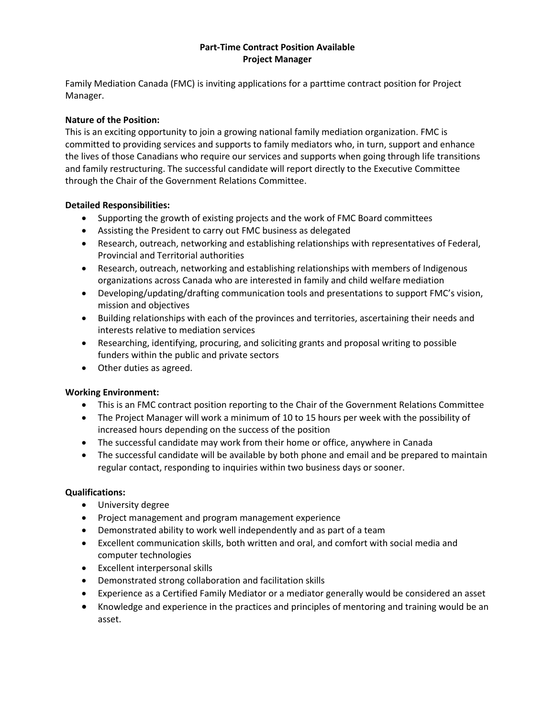## **Part-Time Contract Position Available Project Manager**

Family Mediation Canada (FMC) is inviting applications for a parttime contract position for Project Manager.

# **Nature of the Position:**

This is an exciting opportunity to join a growing national family mediation organization. FMC is committed to providing services and supports to family mediators who, in turn, support and enhance the lives of those Canadians who require our services and supports when going through life transitions and family restructuring. The successful candidate will report directly to the Executive Committee through the Chair of the Government Relations Committee.

## **Detailed Responsibilities:**

- Supporting the growth of existing projects and the work of FMC Board committees
- Assisting the President to carry out FMC business as delegated
- Research, outreach, networking and establishing relationships with representatives of Federal, Provincial and Territorial authorities
- Research, outreach, networking and establishing relationships with members of Indigenous organizations across Canada who are interested in family and child welfare mediation
- Developing/updating/drafting communication tools and presentations to support FMC's vision, mission and objectives
- Building relationships with each of the provinces and territories, ascertaining their needs and interests relative to mediation services
- Researching, identifying, procuring, and soliciting grants and proposal writing to possible funders within the public and private sectors
- Other duties as agreed.

#### **Working Environment:**

- This is an FMC contract position reporting to the Chair of the Government Relations Committee
- The Project Manager will work a minimum of 10 to 15 hours per week with the possibility of increased hours depending on the success of the position
- The successful candidate may work from their home or office, anywhere in Canada
- The successful candidate will be available by both phone and email and be prepared to maintain regular contact, responding to inquiries within two business days or sooner.

#### **Qualifications:**

- University degree
- Project management and program management experience
- Demonstrated ability to work well independently and as part of a team
- Excellent communication skills, both written and oral, and comfort with social media and computer technologies
- Excellent interpersonal skills
- Demonstrated strong collaboration and facilitation skills
- Experience as a Certified Family Mediator or a mediator generally would be considered an asset
- Knowledge and experience in the practices and principles of mentoring and training would be an asset.